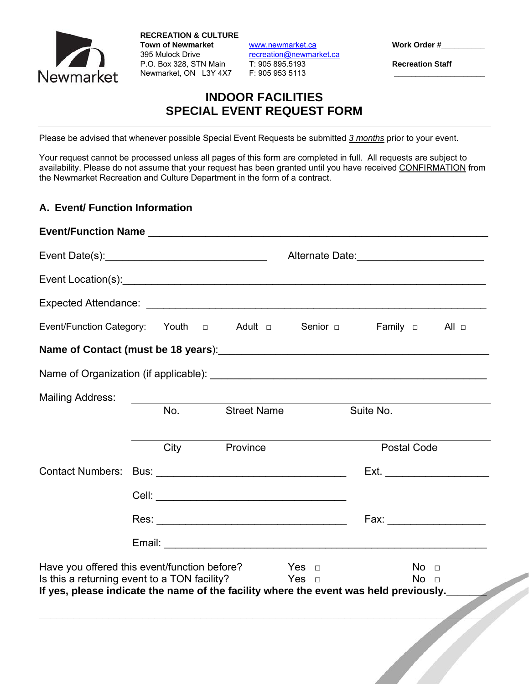

**RECREATION & CULTURE**  Town of Newmarket **WWW.newmarket.ca** Work Order # 395 Mulock Drive recreation@newmarket.ca P.O. Box 328, STN Main T: 905 895.5193 **Recreation Staff**  Newmarket, ON L3Y 4X7 F: 905 953 5113 **\_\_\_\_\_\_\_\_\_\_\_\_\_\_\_\_\_\_\_\_\_**

# **INDOOR FACILITIES SPECIAL EVENT REQUEST FORM**

Please be advised that whenever possible Special Event Requests be submitted *3 months* prior to your event.

Your request cannot be processed unless all pages of this form are completed in full. All requests are subject to availability. Please do not assume that your request has been granted until you have received CONFIRMATION from the Newmarket Recreation and Culture Department in the form of a contract.

### **A. Event/ Function Information**

|                                                                                                                           |     |                                                                                       | Alternate Date: _____________________________                                                                   |  |
|---------------------------------------------------------------------------------------------------------------------------|-----|---------------------------------------------------------------------------------------|-----------------------------------------------------------------------------------------------------------------|--|
|                                                                                                                           |     |                                                                                       |                                                                                                                 |  |
|                                                                                                                           |     |                                                                                       |                                                                                                                 |  |
| Event/Function Category: Youth a Adult a Senior a Family a All a                                                          |     |                                                                                       |                                                                                                                 |  |
|                                                                                                                           |     |                                                                                       |                                                                                                                 |  |
|                                                                                                                           |     |                                                                                       |                                                                                                                 |  |
| <b>Mailing Address:</b>                                                                                                   | No. | <b>Street Name</b>                                                                    | Suite No.                                                                                                       |  |
|                                                                                                                           |     | City Province                                                                         | <b>Postal Code</b>                                                                                              |  |
| <b>Contact Numbers:</b>                                                                                                   |     |                                                                                       |                                                                                                                 |  |
|                                                                                                                           |     |                                                                                       |                                                                                                                 |  |
|                                                                                                                           |     |                                                                                       | Fax: Exercise of the state of the state of the state of the state of the state of the state of the state of the |  |
|                                                                                                                           |     |                                                                                       |                                                                                                                 |  |
| Have you offered this event/function before? $\Box$ Yes $\Box$<br>Is this a returning event to a TON facility? $Yes \Box$ |     | If yes, please indicate the name of the facility where the event was held previously. | No <sub>1</sub><br>No <sub>1</sub>                                                                              |  |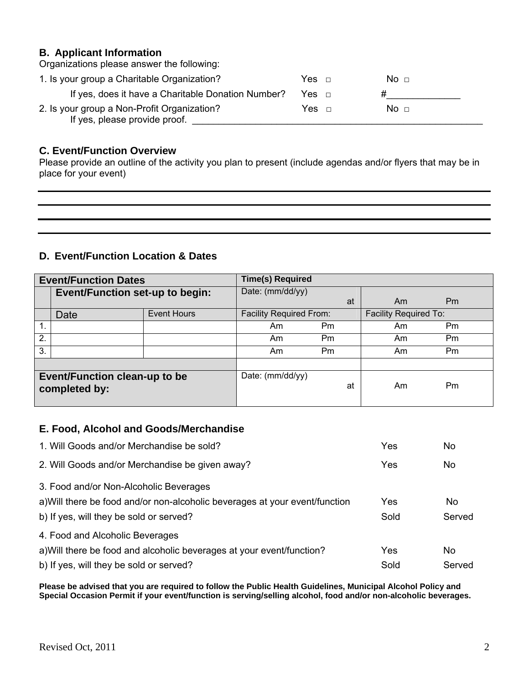#### **B. Applicant Information**

| Organizations please answer the following:                                   |                 |  |
|------------------------------------------------------------------------------|-----------------|--|
| 1. Is your group a Charitable Organization?                                  | No <sub>1</sub> |  |
| If yes, does it have a Charitable Donation Number?                           |                 |  |
| 2. Is your group a Non-Profit Organization?<br>If yes, please provide proof. | No <sub>1</sub> |  |

### **C. Event/Function Overview**

Please provide an outline of the activity you plan to present (include agendas and/or flyers that may be in place for your event)

## **D. Event/Function Location & Dates**

| <b>Event/Function Dates</b>                           |                            | <b>Time(s) Required</b> |                                |    |                              |                |
|-------------------------------------------------------|----------------------------|-------------------------|--------------------------------|----|------------------------------|----------------|
| <b>Event/Function set-up to begin:</b>                |                            | Date: (mm/dd/yy)        |                                |    |                              |                |
|                                                       |                            |                         |                                | at | Am                           | P <sub>m</sub> |
|                                                       | <b>Event Hours</b><br>Date |                         | <b>Facility Required From:</b> |    | <b>Facility Required To:</b> |                |
| $\mathbf{1}$ .                                        |                            |                         | Am                             | Pm | Am                           | Pm             |
| 2.                                                    |                            |                         | Am                             | Pm | Am                           | Pm             |
| 3.                                                    |                            |                         | Am                             | Pm | Am                           | Pm             |
|                                                       |                            |                         |                                |    |                              |                |
| <b>Event/Function clean-up to be</b><br>completed by: |                            | Date: (mm/dd/yy)        | at                             | Am | P <sub>m</sub>               |                |

## **E. Food, Alcohol and Goods/Merchandise**

| 1. Will Goods and/or Merchandise be sold?                                   | Yes  | No     |
|-----------------------------------------------------------------------------|------|--------|
| 2. Will Goods and/or Merchandise be given away?                             | Yes  | No     |
| 3. Food and/or Non-Alcoholic Beverages                                      |      |        |
| a) Will there be food and/or non-alcoholic beverages at your event/function | Yes  | No     |
| b) If yes, will they be sold or served?                                     | Sold | Served |
| 4. Food and Alcoholic Beverages                                             |      |        |
| a) Will there be food and alcoholic beverages at your event/function?       | Yes  | No     |
| b) If yes, will they be sold or served?                                     | Sold | Served |

**Please be advised that you are required to follow the Public Health Guidelines, Municipal Alcohol Policy and Special Occasion Permit if your event/function is serving/selling alcohol, food and/or non-alcoholic beverages.**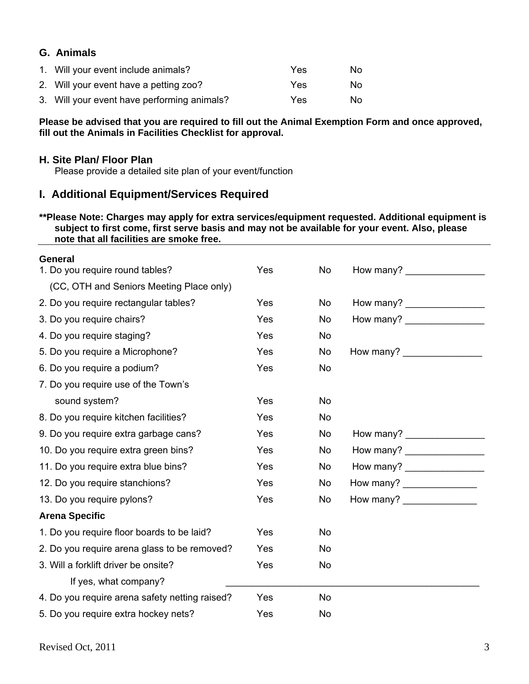### **G. Animals**

| 1. Will your event include animals?         | Yes | No. |
|---------------------------------------------|-----|-----|
| 2. Will your event have a petting zoo?      | Yes | No. |
| 3. Will your event have performing animals? | Yes | No. |

**Please be advised that you are required to fill out the Animal Exemption Form and once approved, fill out the Animals in Facilities Checklist for approval.** 

#### **H. Site Plan/ Floor Plan**

Please provide a detailed site plan of your event/function

### **I. Additional Equipment/Services Required**

#### **\*\*Please Note: Charges may apply for extra services/equipment requested. Additional equipment is subject to first come, first serve basis and may not be available for your event. Also, please note that all facilities are smoke free.**

| <b>General</b>                                 |            |           |                                                                                                                                                                                                                                                                                                                 |  |
|------------------------------------------------|------------|-----------|-----------------------------------------------------------------------------------------------------------------------------------------------------------------------------------------------------------------------------------------------------------------------------------------------------------------|--|
| 1. Do you require round tables?                | Yes        | No        |                                                                                                                                                                                                                                                                                                                 |  |
| (CC, OTH and Seniors Meeting Place only)       |            |           |                                                                                                                                                                                                                                                                                                                 |  |
| 2. Do you require rectangular tables?          | Yes        | No        | How many?                                                                                                                                                                                                                                                                                                       |  |
| 3. Do you require chairs?                      | <b>Yes</b> | No        | How many?                                                                                                                                                                                                                                                                                                       |  |
| 4. Do you require staging?                     | Yes        | No        |                                                                                                                                                                                                                                                                                                                 |  |
| 5. Do you require a Microphone?                | Yes        | No        | How many?                                                                                                                                                                                                                                                                                                       |  |
| 6. Do you require a podium?                    | Yes        | <b>No</b> |                                                                                                                                                                                                                                                                                                                 |  |
| 7. Do you require use of the Town's            |            |           |                                                                                                                                                                                                                                                                                                                 |  |
| sound system?                                  | Yes        | <b>No</b> |                                                                                                                                                                                                                                                                                                                 |  |
| 8. Do you require kitchen facilities?          | Yes        | No        |                                                                                                                                                                                                                                                                                                                 |  |
| 9. Do you require extra garbage cans?          | Yes        | No        |                                                                                                                                                                                                                                                                                                                 |  |
| 10. Do you require extra green bins?           | Yes        | No        | How many? $\frac{1}{2}$ $\frac{1}{2}$ $\frac{1}{2}$ $\frac{1}{2}$ $\frac{1}{2}$ $\frac{1}{2}$ $\frac{1}{2}$ $\frac{1}{2}$ $\frac{1}{2}$ $\frac{1}{2}$ $\frac{1}{2}$ $\frac{1}{2}$ $\frac{1}{2}$ $\frac{1}{2}$ $\frac{1}{2}$ $\frac{1}{2}$ $\frac{1}{2}$ $\frac{1}{2}$ $\frac{1}{2}$ $\frac{1}{2}$ $\frac{1}{2}$ |  |
| 11. Do you require extra blue bins?            | Yes        | No        | How many? ___________________                                                                                                                                                                                                                                                                                   |  |
| 12. Do you require stanchions?                 | Yes        | No        | How many?                                                                                                                                                                                                                                                                                                       |  |
| 13. Do you require pylons?                     | Yes        | No        | How many? $\frac{1}{2}$ $\frac{1}{2}$ $\frac{1}{2}$ $\frac{1}{2}$ $\frac{1}{2}$ $\frac{1}{2}$ $\frac{1}{2}$ $\frac{1}{2}$ $\frac{1}{2}$ $\frac{1}{2}$ $\frac{1}{2}$ $\frac{1}{2}$ $\frac{1}{2}$ $\frac{1}{2}$ $\frac{1}{2}$ $\frac{1}{2}$ $\frac{1}{2}$ $\frac{1}{2}$ $\frac{1}{2}$ $\frac{1}{2}$ $\frac{1}{2}$ |  |
| <b>Arena Specific</b>                          |            |           |                                                                                                                                                                                                                                                                                                                 |  |
| 1. Do you require floor boards to be laid?     | Yes        | No        |                                                                                                                                                                                                                                                                                                                 |  |
| 2. Do you require arena glass to be removed?   | Yes        | No        |                                                                                                                                                                                                                                                                                                                 |  |
| 3. Will a forklift driver be onsite?           | Yes        | No        |                                                                                                                                                                                                                                                                                                                 |  |
| If yes, what company?                          |            |           |                                                                                                                                                                                                                                                                                                                 |  |
| 4. Do you require arena safety netting raised? | Yes        | No        |                                                                                                                                                                                                                                                                                                                 |  |
| 5. Do you require extra hockey nets?           | Yes        | No        |                                                                                                                                                                                                                                                                                                                 |  |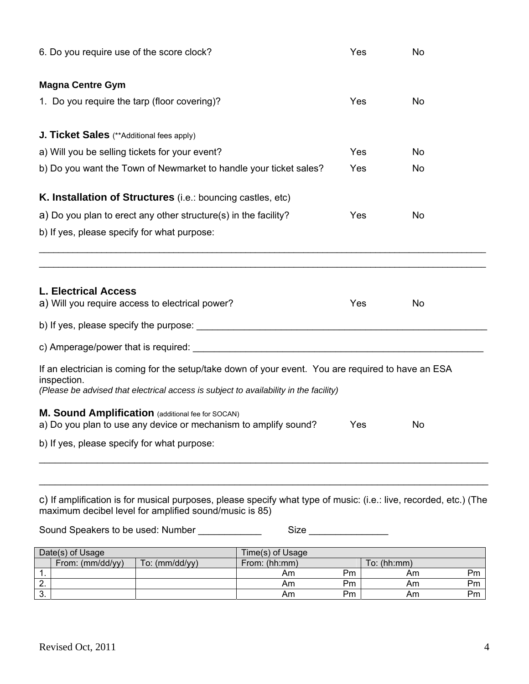| 6. Do you require use of the score clock?                                                                                                                                                                  | Yes              | No       |             |          |  |  |  |
|------------------------------------------------------------------------------------------------------------------------------------------------------------------------------------------------------------|------------------|----------|-------------|----------|--|--|--|
| <b>Magna Centre Gym</b>                                                                                                                                                                                    |                  |          |             |          |  |  |  |
| 1. Do you require the tarp (floor covering)?                                                                                                                                                               |                  | Yes      | <b>No</b>   |          |  |  |  |
| J. Ticket Sales (**Additional fees apply)                                                                                                                                                                  |                  |          |             |          |  |  |  |
| a) Will you be selling tickets for your event?                                                                                                                                                             |                  | Yes      | No          |          |  |  |  |
| b) Do you want the Town of Newmarket to handle your ticket sales?                                                                                                                                          |                  | Yes      | No          |          |  |  |  |
| K. Installation of Structures (i.e.: bouncing castles, etc)                                                                                                                                                |                  |          |             |          |  |  |  |
| a) Do you plan to erect any other structure(s) in the facility?                                                                                                                                            |                  | Yes      | No          |          |  |  |  |
| b) If yes, please specify for what purpose:                                                                                                                                                                |                  |          |             |          |  |  |  |
|                                                                                                                                                                                                            |                  |          |             |          |  |  |  |
| <b>L. Electrical Access</b><br>a) Will you require access to electrical power?                                                                                                                             |                  | Yes      | No          |          |  |  |  |
|                                                                                                                                                                                                            |                  |          |             |          |  |  |  |
|                                                                                                                                                                                                            |                  |          |             |          |  |  |  |
| If an electrician is coming for the setup/take down of your event. You are required to have an ESA<br>inspection.<br>(Please be advised that electrical access is subject to availability in the facility) |                  |          |             |          |  |  |  |
| M. Sound Amplification (additional fee for SOCAN)<br>a) Do you plan to use any device or mechanism to amplify sound?                                                                                       |                  | Yes      | No          |          |  |  |  |
| b) If yes, please specify for what purpose:                                                                                                                                                                |                  |          |             |          |  |  |  |
|                                                                                                                                                                                                            |                  |          |             |          |  |  |  |
| c) If amplification is for musical purposes, please specify what type of music: (i.e.: live, recorded, etc.) (The<br>maximum decibel level for amplified sound/music is 85)                                |                  |          |             |          |  |  |  |
| Sound Speakers to be used: Number ____________                                                                                                                                                             |                  |          |             |          |  |  |  |
| Date(s) of Usage                                                                                                                                                                                           | Time(s) of Usage |          |             |          |  |  |  |
| From: (mm/dd/yy)<br>To: (mm/dd/yy)                                                                                                                                                                         | From: (hh:mm)    |          | To: (hh:mm) |          |  |  |  |
|                                                                                                                                                                                                            | Am<br>Am         | Pm<br>Pm | Am<br>Am    | Pm<br>Pm |  |  |  |
| $\frac{1}{2}$ .<br>$\frac{2}{3}$ .                                                                                                                                                                         | Am               | Pm       | Am          | Pm       |  |  |  |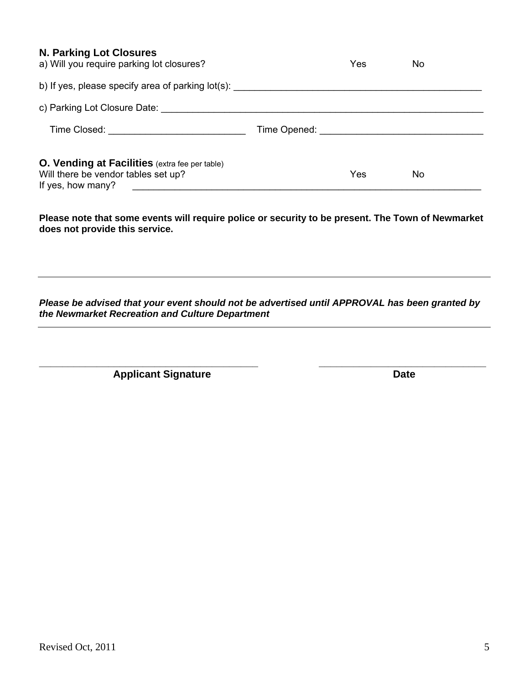#### **N. Parking Lot Closures**

| a) Will you require parking lot closures?                                                                         | Yes | No |
|-------------------------------------------------------------------------------------------------------------------|-----|----|
| b) If yes, please specify area of parking lot(s):                                                                 |     |    |
| c) Parking Lot Closure Date: We have a series of the contract of the contract of the contract of the contract o   |     |    |
| Time Closed: <u>________________________</u>                                                                      |     |    |
| <b>O. Vending at Facilities</b> (extra fee per table)<br>Will there be vendor tables set up?<br>If yes, how many? | Yes | No |

**Please note that some events will require police or security to be present. The Town of Newmarket does not provide this service.** 

*Please be advised that your event should not be advertised until APPROVAL has been granted by the Newmarket Recreation and Culture Department* 

**\_\_\_\_\_\_\_\_\_\_\_\_\_\_\_\_\_\_\_\_\_\_\_\_\_\_\_\_\_\_\_\_\_\_\_\_\_\_ \_\_\_\_\_\_\_\_\_\_\_\_\_\_\_\_\_\_\_\_\_\_\_\_\_\_\_\_\_** 

**Applicant Signature Date Date**